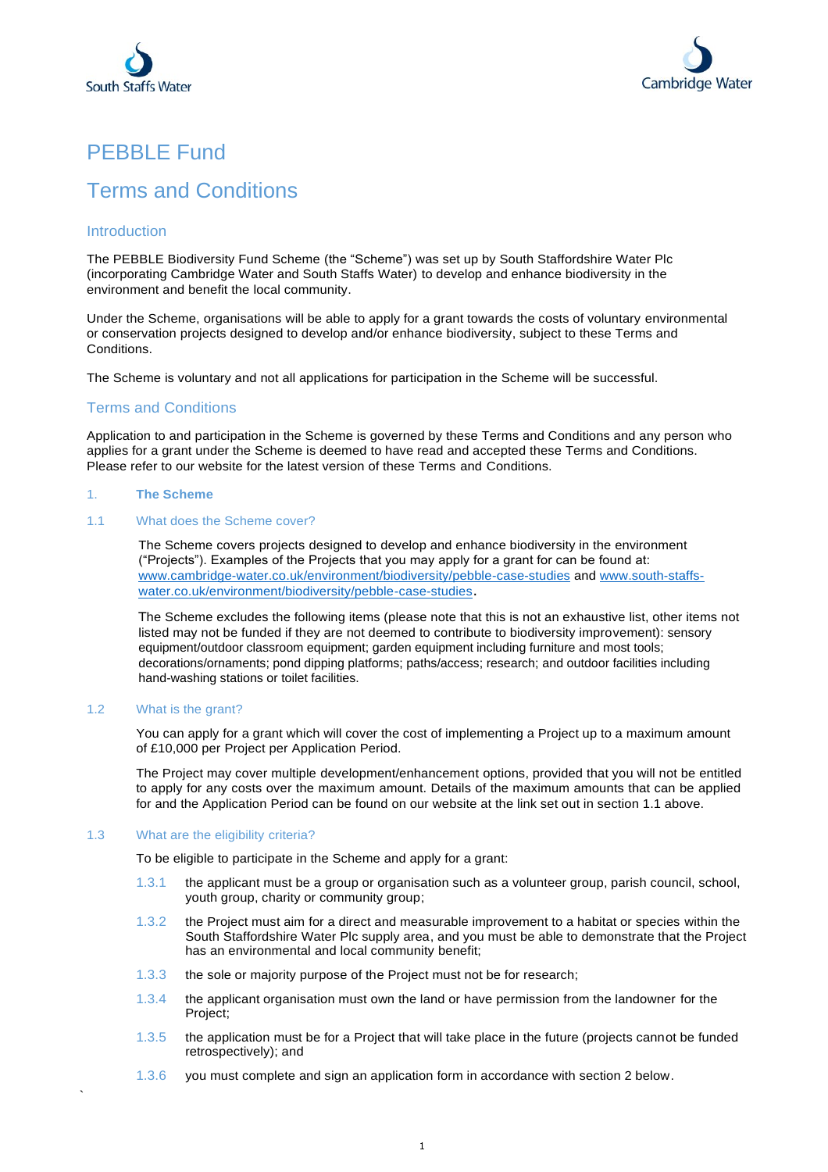



# PEBBLE Fund

# Terms and Conditions

# Introduction

The PEBBLE Biodiversity Fund Scheme (the "Scheme") was set up by South Staffordshire Water Plc (incorporating Cambridge Water and South Staffs Water) to develop and enhance biodiversity in the environment and benefit the local community.

Under the Scheme, organisations will be able to apply for a grant towards the costs of voluntary environmental or conservation projects designed to develop and/or enhance biodiversity, subject to these Terms and Conditions.

The Scheme is voluntary and not all applications for participation in the Scheme will be successful.

# Terms and Conditions

Application to and participation in the Scheme is governed by these Terms and Conditions and any person who applies for a grant under the Scheme is deemed to have read and accepted these Terms and Conditions. Please refer to our website for the latest version of these Terms and Conditions.

# 1. **The Scheme**

# 1.1 What does the Scheme cover?

The Scheme covers projects designed to develop and enhance biodiversity in the environment ("Projects"). Examples of the Projects that you may apply for a grant for can be found at: [www.cambridge-water.co.uk/environment/biodiversity/pebble-case-studies](http://www.cambridge-water.co.uk/environment/biodiversity/pebble-case-studies) and [www.south-staffs](http://www.south-staffs-water.co.uk/environment/biodiversity/pebble-case-studies)[water.co.uk/environment/biodiversity/pebble-case-studies](http://www.south-staffs-water.co.uk/environment/biodiversity/pebble-case-studies).

The Scheme excludes the following items (please note that this is not an exhaustive list, other items not listed may not be funded if they are not deemed to contribute to biodiversity improvement): sensory equipment/outdoor classroom equipment; garden equipment including furniture and most tools; decorations/ornaments; pond dipping platforms; paths/access; research; and outdoor facilities including hand-washing stations or toilet facilities.

# 1.2 What is the grant?

`

You can apply for a grant which will cover the cost of implementing a Project up to a maximum amount of £10,000 per Project per Application Period.

The Project may cover multiple development/enhancement options, provided that you will not be entitled to apply for any costs over the maximum amount. Details of the maximum amounts that can be applied for and the Application Period can be found on our website at the link set out in section 1.1 above.

# 1.3 What are the eligibility criteria?

To be eligible to participate in the Scheme and apply for a grant:

- 1.3.1 the applicant must be a group or organisation such as a volunteer group, parish council, school, youth group, charity or community group;
- 1.3.2 the Project must aim for a direct and measurable improvement to a habitat or species within the South Staffordshire Water Plc supply area, and you must be able to demonstrate that the Project has an environmental and local community benefit;
- 1.3.3 the sole or majority purpose of the Project must not be for research;
- 1.3.4 the applicant organisation must own the land or have permission from the landowner for the Project;
- 1.3.5 the application must be for a Project that will take place in the future (projects cannot be funded retrospectively); and
- 1.3.6 you must complete and sign an application form in accordance with section 2 below.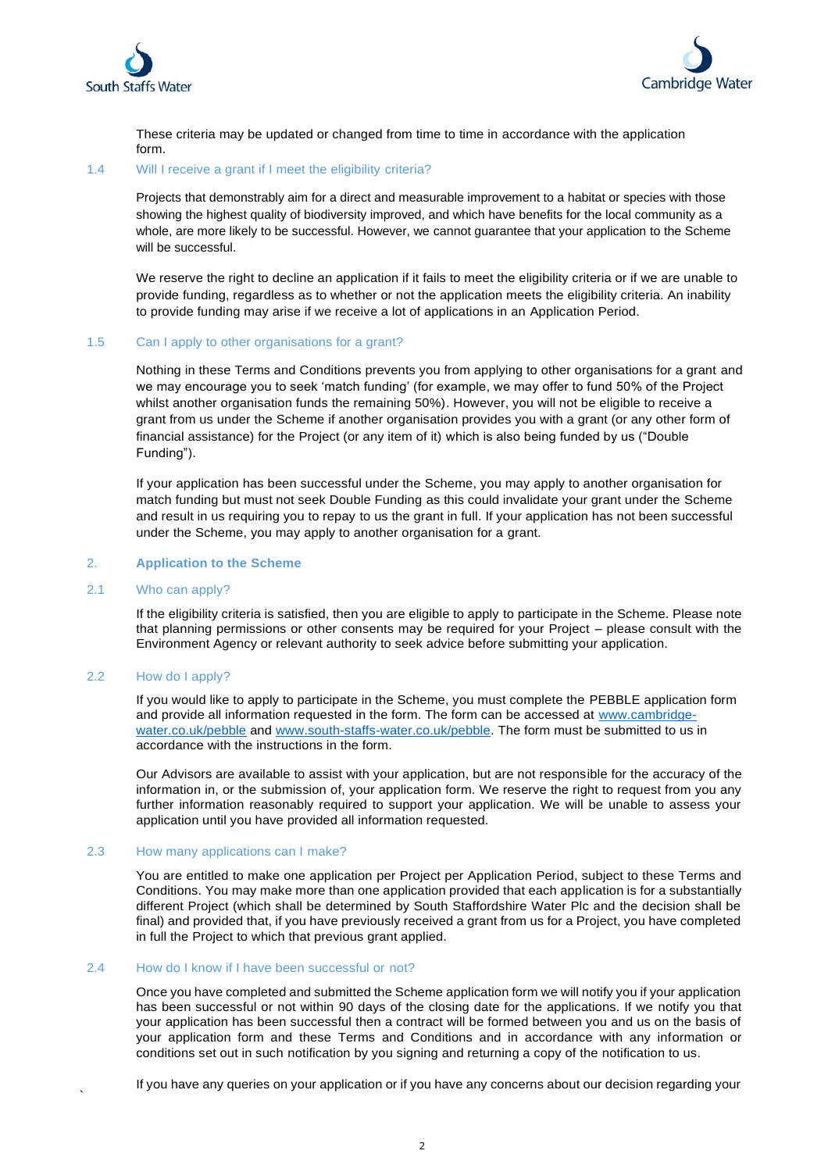



These criteria may be updated or changed from time to time in accordance with the application form.

#### 1.4 Will I receive a grant if I meet the eligibility criteria?

Projects that demonstrably aim for a direct and measurable improvement to a habitat or species with those showing the highest quality of biodiversity improved, and which have benefits for the local community as a whole, are more likely to be successful. However, we cannot guarantee that your application to the Scheme will be successful.

We reserve the right to decline an application if it fails to meet the eligibility criteria or if we are unable to provide funding, regardless as to whether or not the application meets the eligibility criteria. An inability to provide funding may arise if we receive a lot of applications in an Application Period.

# 1.5 Can I apply to other organisations for a grant?

Nothing in these Terms and Conditions prevents you from applying to other organisations for a grant and we may encourage you to seek 'match funding' (for example, we may offer to fund 50% of the Project whilst another organisation funds the remaining 50%). However, you will not be eligible to receive a grant from us under the Scheme if another organisation provides you with a grant (or any other form of financial assistance) for the Project (or any item of it) which is also being funded by us ("Double Funding").

If your application has been successful under the Scheme, you may apply to another organisation for match funding but must not seek Double Funding as this could invalidate your grant under the Scheme and result in us requiring you to repay to us the grant in full. If your application has not been successful under the Scheme, you may apply to another organisation for a grant.

#### 2. **Application to the Scheme**

#### 2.1 Who can apply?

If the eligibility criteria is satisfied, then you are eligible to apply to participate in the Scheme. Please note that planning permissions or other consents may be required for your Project – please consult with the Environment Agency or relevant authority to seek advice before submitting your application.

# 2.2 How do I apply?

`

If you would like to apply to participate in the Scheme, you must complete the PEBBLE application form and provide all information requested in the form. The form can be accessed at www.cambridgewater.co.uk/pebble and [www.south-staffs-water.co.uk/pebble.](http://www.south-staffs-water.co.uk/pebble) The form must be submitted to us in accordance with the instructions in the form.

Our Advisors are available to assist with your application, but are not responsible for the accuracy of the information in, or the submission of, your application form. We reserve the right to request from you any further information reasonably required to support your application. We will be unable to assess your application until you have provided all information requested.

#### 2.3 How many applications can I make?

You are entitled to make one application per Project per Application Period, subject to these Terms and Conditions. You may make more than one application provided that each application is for a substantially different Project (which shall be determined by South Staffordshire Water Plc and the decision shall be final) and provided that, if you have previously received a grant from us for a Project, you have completed in full the Project to which that previous grant applied.

## 2.4 How do I know if I have been successful or not?

Once you have completed and submitted the Scheme application form we will notify you if your application has been successful or not within 90 days of the closing date for the applications. If we notify you that your application has been successful then a contract will be formed between you and us on the basis of your application form and these Terms and Conditions and in accordance with any information or conditions set out in such notification by you signing and returning a copy of the notification to us.

If you have any queries on your application or if you have any concerns about our decision regarding your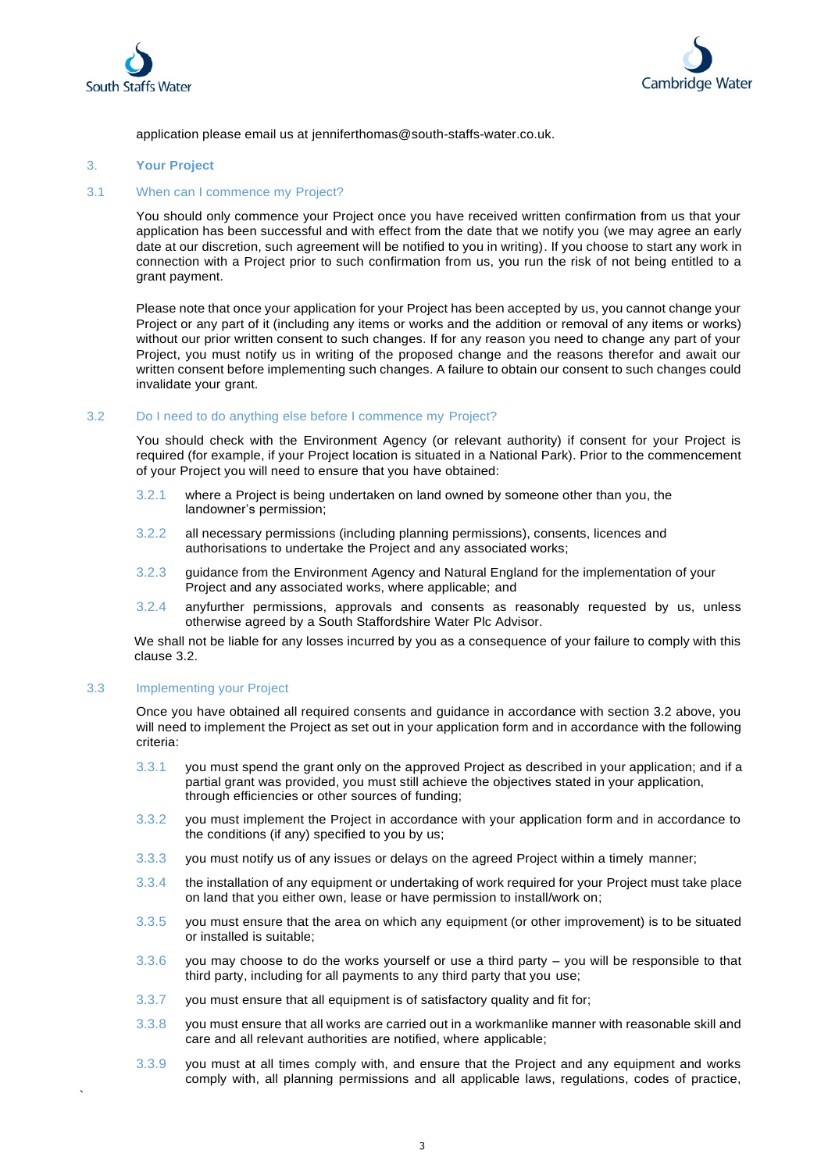



application please email us at [jenniferthomas@south-staffs-water.co.uk.](mailto:catchment.management@south-staffs-water.co.uk)

# 3. **Your Project**

## 3.1 When can I commence my Project?

You should only commence your Project once you have received written confirmation from us that your application has been successful and with effect from the date that we notify you (we may agree an early date at our discretion, such agreement will be notified to you in writing). If you choose to start any work in connection with a Project prior to such confirmation from us, you run the risk of not being entitled to a grant payment.

Please note that once your application for your Project has been accepted by us, you cannot change your Project or any part of it (including any items or works and the addition or removal of any items or works) without our prior written consent to such changes. If for any reason you need to change any part of your Project, you must notify us in writing of the proposed change and the reasons therefor and await our written consent before implementing such changes. A failure to obtain our consent to such changes could invalidate your grant.

#### 3.2 Do I need to do anything else before I commence my Project?

You should check with the Environment Agency (or relevant authority) if consent for your Project is required (for example, if your Project location is situated in a National Park). Prior to the commencement of your Project you will need to ensure that you have obtained:

- 3.2.1 where a Project is being undertaken on land owned by someone other than you, the landowner's permission;
- 3.2.2 all necessary permissions (including planning permissions), consents, licences and authorisations to undertake the Project and any associated works;
- 3.2.3 guidance from the Environment Agency and Natural England for the implementation of your Project and any associated works, where applicable; and
- 3.2.4 anyfurther permissions, approvals and consents as reasonably requested by us, unless otherwise agreed by a South Staffordshire Water Plc Advisor.

We shall not be liable for any losses incurred by you as a consequence of your failure to comply with this clause 3.2.

#### 3.3 Implementing your Project

`

Once you have obtained all required consents and guidance in accordance with section 3.2 above, you will need to implement the Project as set out in your application form and in accordance with the following criteria:

- 3.3.1 you must spend the grant only on the approved Project as described in your application; and if a partial grant was provided, you must still achieve the objectives stated in your application, through efficiencies or other sources of funding;
- 3.3.2 you must implement the Project in accordance with your application form and in accordance to the conditions (if any) specified to you by us;
- 3.3.3 you must notify us of any issues or delays on the agreed Project within a timely manner;
- 3.3.4 the installation of any equipment or undertaking of work required for your Project must take place on land that you either own, lease or have permission to install/work on;
- 3.3.5 you must ensure that the area on which any equipment (or other improvement) is to be situated or installed is suitable;
- 3.3.6 you may choose to do the works yourself or use a third party you will be responsible to that third party, including for all payments to any third party that you use;
- 3.3.7 you must ensure that all equipment is of satisfactory quality and fit for;
- 3.3.8 you must ensure that all works are carried out in a workmanlike manner with reasonable skill and care and all relevant authorities are notified, where applicable;
- 3.3.9 you must at all times comply with, and ensure that the Project and any equipment and works comply with, all planning permissions and all applicable laws, regulations, codes of practice,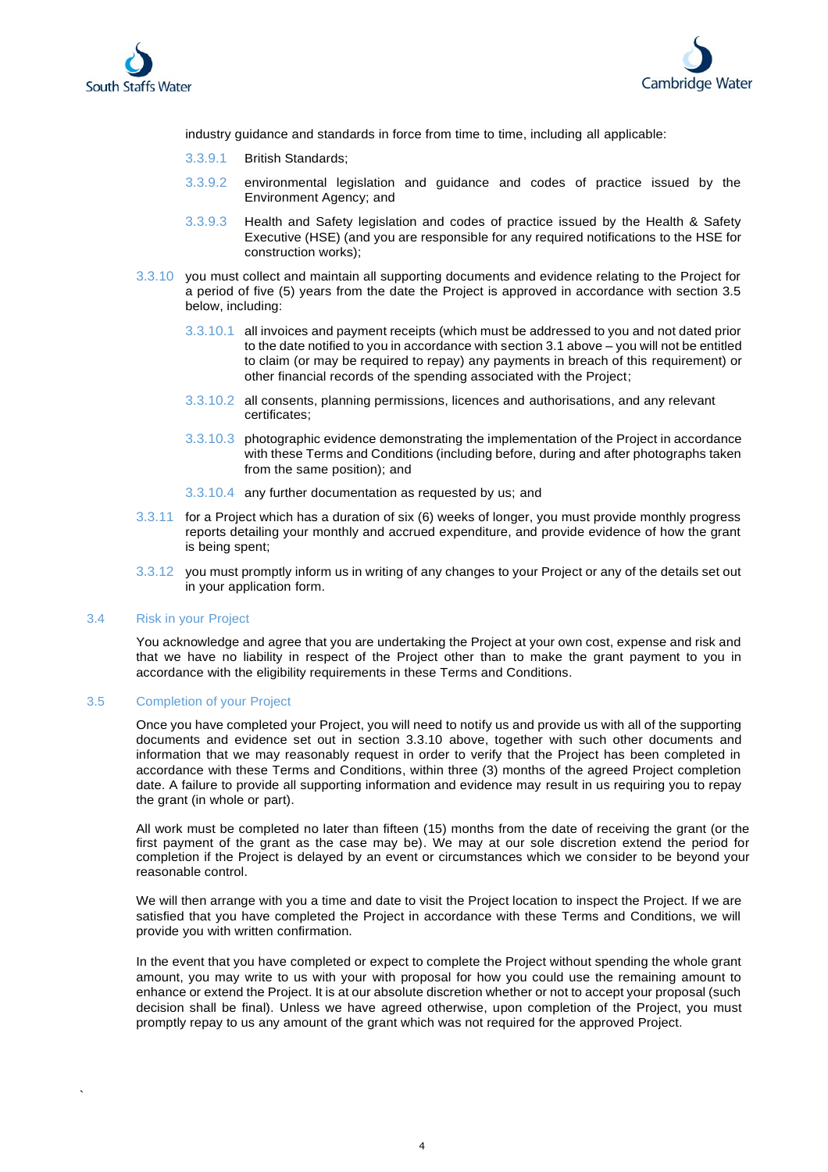



industry guidance and standards in force from time to time, including all applicable:

- 3.3.9.1 British Standards;
- 3.3.9.2 environmental legislation and guidance and codes of practice issued by the Environment Agency; and
- 3.3.9.3 Health and Safety legislation and codes of practice issued by the Health & Safety Executive (HSE) (and you are responsible for any required notifications to the HSE for construction works);
- 3.3.10 you must collect and maintain all supporting documents and evidence relating to the Project for a period of five (5) years from the date the Project is approved in accordance with section 3.5 below, including:
	- 3.3.10.1 all invoices and payment receipts (which must be addressed to you and not dated prior to the date notified to you in accordance with section 3.1 above – you will not be entitled to claim (or may be required to repay) any payments in breach of this requirement) or other financial records of the spending associated with the Project;
	- 3.3.10.2 all consents, planning permissions, licences and authorisations, and any relevant certificates;
	- 3.3.10.3 photographic evidence demonstrating the implementation of the Project in accordance with these Terms and Conditions (including before, during and after photographs taken from the same position); and
	- 3.3.10.4 any further documentation as requested by us; and
- 3.3.11 for a Project which has a duration of six (6) weeks of longer, you must provide monthly progress reports detailing your monthly and accrued expenditure, and provide evidence of how the grant is being spent;
- 3.3.12 you must promptly inform us in writing of any changes to your Project or any of the details set out in your application form.

## 3.4 Risk in your Project

`

You acknowledge and agree that you are undertaking the Project at your own cost, expense and risk and that we have no liability in respect of the Project other than to make the grant payment to you in accordance with the eligibility requirements in these Terms and Conditions.

#### 3.5 Completion of your Project

Once you have completed your Project, you will need to notify us and provide us with all of the supporting documents and evidence set out in section 3.3.10 above, together with such other documents and information that we may reasonably request in order to verify that the Project has been completed in accordance with these Terms and Conditions, within three (3) months of the agreed Project completion date. A failure to provide all supporting information and evidence may result in us requiring you to repay the grant (in whole or part).

All work must be completed no later than fifteen (15) months from the date of receiving the grant (or the first payment of the grant as the case may be). We may at our sole discretion extend the period for completion if the Project is delayed by an event or circumstances which we consider to be beyond your reasonable control.

We will then arrange with you a time and date to visit the Project location to inspect the Project. If we are satisfied that you have completed the Project in accordance with these Terms and Conditions, we will provide you with written confirmation.

In the event that you have completed or expect to complete the Project without spending the whole grant amount, you may write to us with your with proposal for how you could use the remaining amount to enhance or extend the Project. It is at our absolute discretion whether or not to accept your proposal (such decision shall be final). Unless we have agreed otherwise, upon completion of the Project, you must promptly repay to us any amount of the grant which was not required for the approved Project.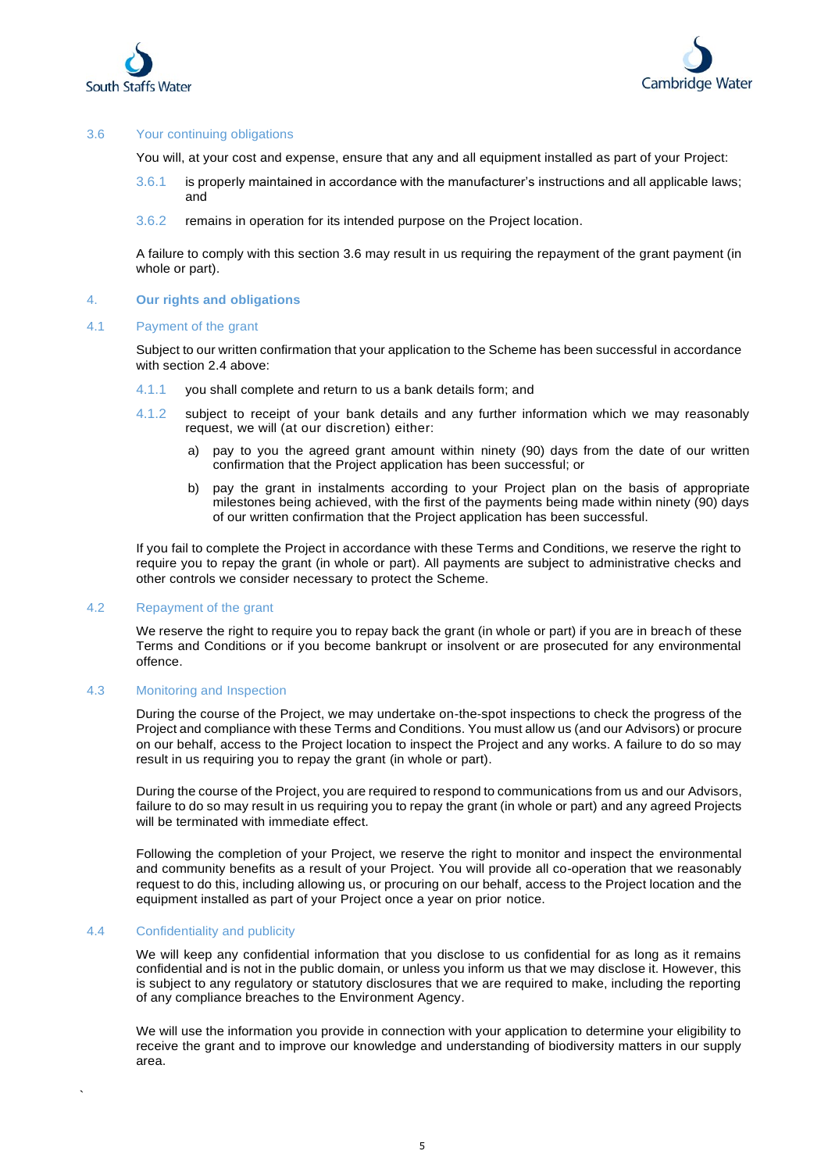



# 3.6 Your continuing obligations

You will, at your cost and expense, ensure that any and all equipment installed as part of your Project:

- 3.6.1 is properly maintained in accordance with the manufacturer's instructions and all applicable laws; and
- 3.6.2 remains in operation for its intended purpose on the Project location.

A failure to comply with this section 3.6 may result in us requiring the repayment of the grant payment (in whole or part).

#### 4. **Our rights and obligations**

#### 4.1 Payment of the grant

Subject to our written confirmation that your application to the Scheme has been successful in accordance with section 2.4 above:

- 4.1.1 you shall complete and return to us a bank details form; and
- 4.1.2 subject to receipt of your bank details and any further information which we may reasonably request, we will (at our discretion) either:
	- a) pay to you the agreed grant amount within ninety (90) days from the date of our written confirmation that the Project application has been successful; or
	- b) pay the grant in instalments according to your Project plan on the basis of appropriate milestones being achieved, with the first of the payments being made within ninety (90) days of our written confirmation that the Project application has been successful.

If you fail to complete the Project in accordance with these Terms and Conditions, we reserve the right to require you to repay the grant (in whole or part). All payments are subject to administrative checks and other controls we consider necessary to protect the Scheme.

## 4.2 Repayment of the grant

We reserve the right to require you to repay back the grant (in whole or part) if you are in breach of these Terms and Conditions or if you become bankrupt or insolvent or are prosecuted for any environmental offence.

## 4.3 Monitoring and Inspection

During the course of the Project, we may undertake on-the-spot inspections to check the progress of the Project and compliance with these Terms and Conditions. You must allow us (and our Advisors) or procure on our behalf, access to the Project location to inspect the Project and any works. A failure to do so may result in us requiring you to repay the grant (in whole or part).

During the course of the Project, you are required to respond to communications from us and our Advisors, failure to do so may result in us requiring you to repay the grant (in whole or part) and any agreed Projects will be terminated with immediate effect.

Following the completion of your Project, we reserve the right to monitor and inspect the environmental and community benefits as a result of your Project. You will provide all co-operation that we reasonably request to do this, including allowing us, or procuring on our behalf, access to the Project location and the equipment installed as part of your Project once a year on prior notice.

#### 4.4 Confidentiality and publicity

`

We will keep any confidential information that you disclose to us confidential for as long as it remains confidential and is not in the public domain, or unless you inform us that we may disclose it. However, this is subject to any regulatory or statutory disclosures that we are required to make, including the reporting of any compliance breaches to the Environment Agency.

We will use the information you provide in connection with your application to determine your eligibility to receive the grant and to improve our knowledge and understanding of biodiversity matters in our supply area.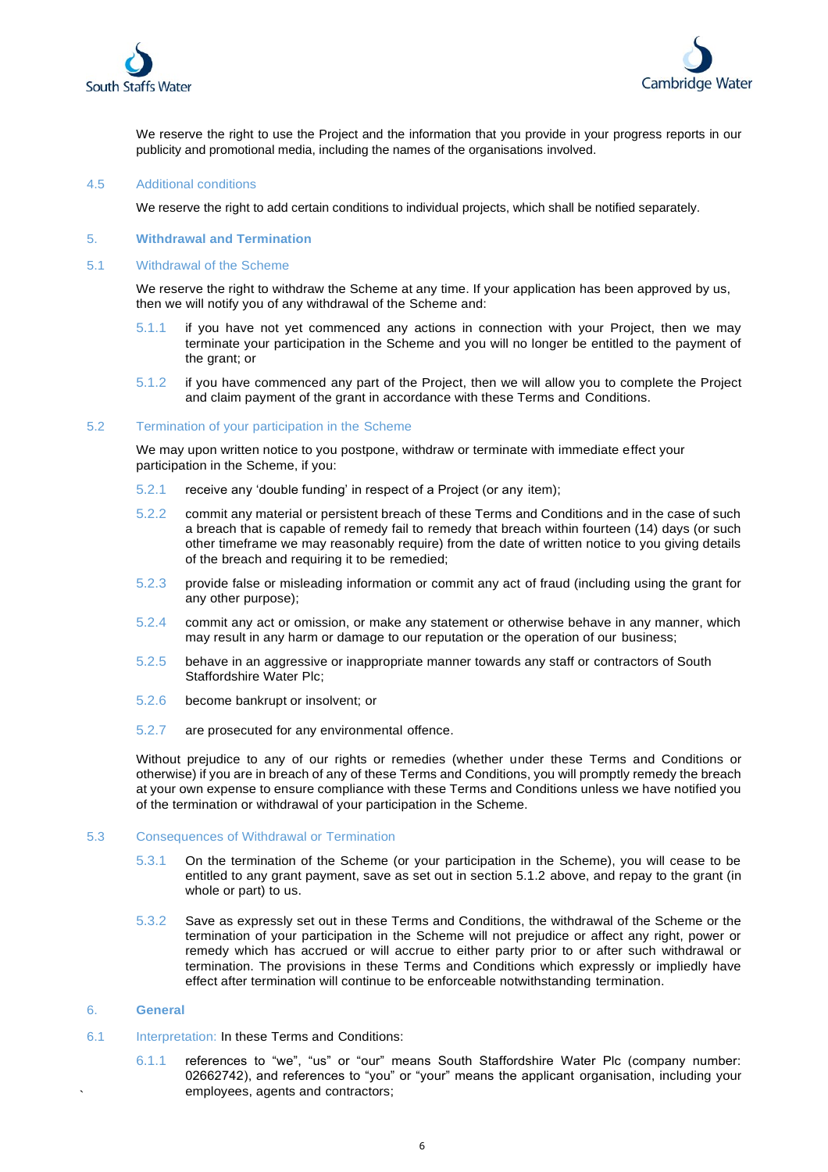



We reserve the right to use the Project and the information that you provide in your progress reports in our publicity and promotional media, including the names of the organisations involved.

#### 4.5 Additional conditions

We reserve the right to add certain conditions to individual projects, which shall be notified separately.

#### 5. **Withdrawal and Termination**

#### 5.1 Withdrawal of the Scheme

We reserve the right to withdraw the Scheme at any time. If your application has been approved by us, then we will notify you of any withdrawal of the Scheme and:

- 5.1.1 if you have not yet commenced any actions in connection with your Project, then we may terminate your participation in the Scheme and you will no longer be entitled to the payment of the grant; or
- 5.1.2 if you have commenced any part of the Project, then we will allow you to complete the Project and claim payment of the grant in accordance with these Terms and Conditions.

#### 5.2 Termination of your participation in the Scheme

We may upon written notice to you postpone, withdraw or terminate with immediate effect your participation in the Scheme, if you:

- 5.2.1 receive any 'double funding' in respect of a Project (or any item);
- 5.2.2 commit any material or persistent breach of these Terms and Conditions and in the case of such a breach that is capable of remedy fail to remedy that breach within fourteen (14) days (or such other timeframe we may reasonably require) from the date of written notice to you giving details of the breach and requiring it to be remedied;
- 5.2.3 provide false or misleading information or commit any act of fraud (including using the grant for any other purpose);
- 5.2.4 commit any act or omission, or make any statement or otherwise behave in any manner, which may result in any harm or damage to our reputation or the operation of our business;
- 5.2.5 behave in an aggressive or inappropriate manner towards any staff or contractors of South Staffordshire Water Plc;
- 5.2.6 become bankrupt or insolvent; or
- 5.2.7 are prosecuted for any environmental offence.

Without prejudice to any of our rights or remedies (whether under these Terms and Conditions or otherwise) if you are in breach of any of these Terms and Conditions, you will promptly remedy the breach at your own expense to ensure compliance with these Terms and Conditions unless we have notified you of the termination or withdrawal of your participation in the Scheme.

#### 5.3 Consequences of Withdrawal or Termination

- 5.3.1 On the termination of the Scheme (or your participation in the Scheme), you will cease to be entitled to any grant payment, save as set out in section 5.1.2 above, and repay to the grant (in whole or part) to us.
- 5.3.2 Save as expressly set out in these Terms and Conditions, the withdrawal of the Scheme or the termination of your participation in the Scheme will not prejudice or affect any right, power or remedy which has accrued or will accrue to either party prior to or after such withdrawal or termination. The provisions in these Terms and Conditions which expressly or impliedly have effect after termination will continue to be enforceable notwithstanding termination.

# 6. **General**

`

- 6.1 Interpretation: In these Terms and Conditions:
	- 6.1.1 references to "we", "us" or "our" means South Staffordshire Water Plc (company number: 02662742), and references to "you" or "your" means the applicant organisation, including your employees, agents and contractors;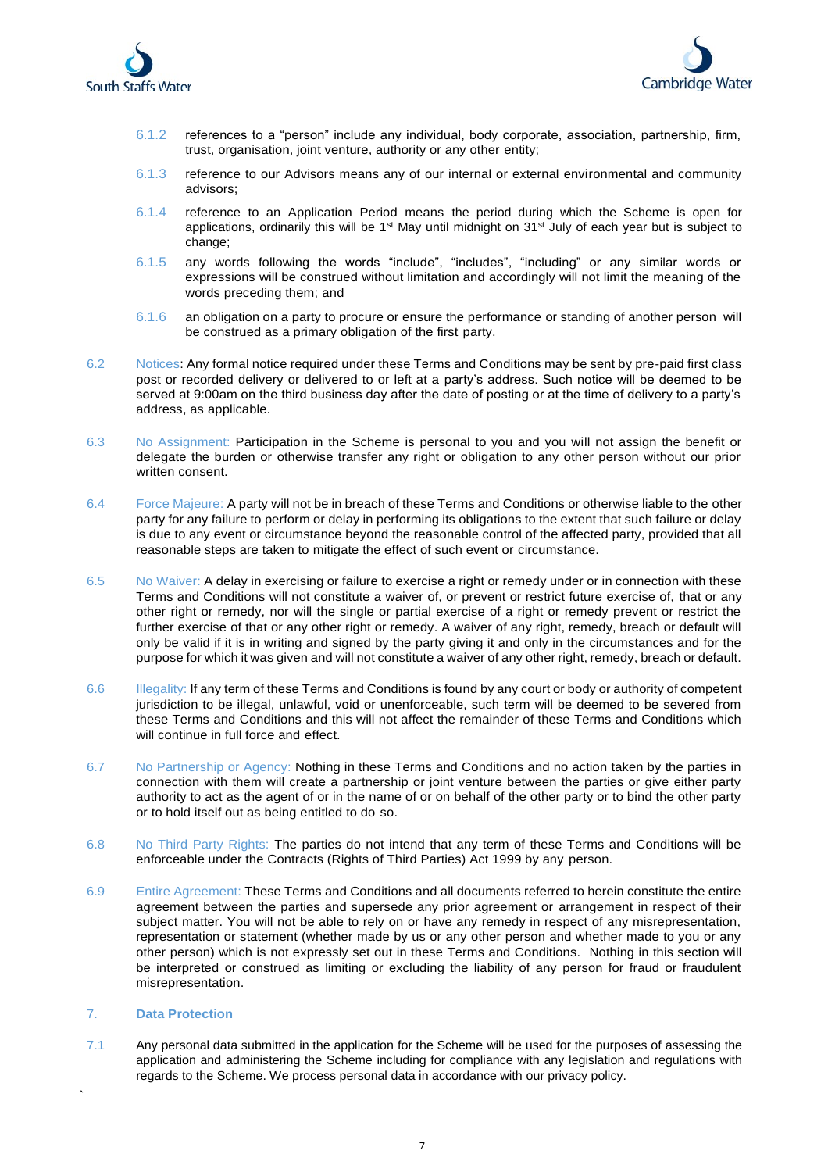



- 6.1.2 references to a "person" include any individual, body corporate, association, partnership, firm, trust, organisation, joint venture, authority or any other entity;
- 6.1.3 reference to our Advisors means any of our internal or external environmental and community advisors;
- 6.1.4 reference to an Application Period means the period during which the Scheme is open for applications, ordinarily this will be 1<sup>st</sup> May until midnight on 31<sup>st</sup> July of each year but is subject to change;
- 6.1.5 any words following the words "include", "includes", "including" or any similar words or expressions will be construed without limitation and accordingly will not limit the meaning of the words preceding them; and
- 6.1.6 an obligation on a party to procure or ensure the performance or standing of another person will be construed as a primary obligation of the first party.
- 6.2 Notices: Any formal notice required under these Terms and Conditions may be sent by pre-paid first class post or recorded delivery or delivered to or left at a party's address. Such notice will be deemed to be served at 9:00am on the third business day after the date of posting or at the time of delivery to a party's address, as applicable.
- 6.3 No Assignment: Participation in the Scheme is personal to you and you will not assign the benefit or delegate the burden or otherwise transfer any right or obligation to any other person without our prior written consent.
- 6.4 Force Majeure: A party will not be in breach of these Terms and Conditions or otherwise liable to the other party for any failure to perform or delay in performing its obligations to the extent that such failure or delay is due to any event or circumstance beyond the reasonable control of the affected party, provided that all reasonable steps are taken to mitigate the effect of such event or circumstance.
- 6.5 No Waiver: A delay in exercising or failure to exercise a right or remedy under or in connection with these Terms and Conditions will not constitute a waiver of, or prevent or restrict future exercise of, that or any other right or remedy, nor will the single or partial exercise of a right or remedy prevent or restrict the further exercise of that or any other right or remedy. A waiver of any right, remedy, breach or default will only be valid if it is in writing and signed by the party giving it and only in the circumstances and for the purpose for which it was given and will not constitute a waiver of any other right, remedy, breach or default.
- 6.6 Illegality: If any term of these Terms and Conditions is found by any court or body or authority of competent jurisdiction to be illegal, unlawful, void or unenforceable, such term will be deemed to be severed from these Terms and Conditions and this will not affect the remainder of these Terms and Conditions which will continue in full force and effect.
- 6.7 No Partnership or Agency: Nothing in these Terms and Conditions and no action taken by the parties in connection with them will create a partnership or joint venture between the parties or give either party authority to act as the agent of or in the name of or on behalf of the other party or to bind the other party or to hold itself out as being entitled to do so.
- 6.8 No Third Party Rights: The parties do not intend that any term of these Terms and Conditions will be enforceable under the Contracts (Rights of Third Parties) Act 1999 by any person.
- 6.9 Entire Agreement: These Terms and Conditions and all documents referred to herein constitute the entire agreement between the parties and supersede any prior agreement or arrangement in respect of their subject matter. You will not be able to rely on or have any remedy in respect of any misrepresentation, representation or statement (whether made by us or any other person and whether made to you or any other person) which is not expressly set out in these Terms and Conditions. Nothing in this section will be interpreted or construed as limiting or excluding the liability of any person for fraud or fraudulent misrepresentation.

# 7. **Data Protection**

`

7.1 Any personal data submitted in the application for the Scheme will be used for the purposes of assessing the application and administering the Scheme including for compliance with any legislation and regulations with regards to the Scheme. We process personal data in accordance with our privacy policy.